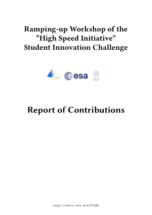## **Ramping-up Workshop of the "High Speed Initiative" Student Innovation Challenge**



# **Report of Contributions**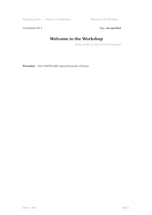Ramping-up Wor ... / Report of Contributions Welcome to the Workshop

Contribution ID: 1 Type: **not specified** 

### **Welcome to the Workshop**

*Friday, October 21, 2016 9:00 AM (30 minutes)*

Presenter: Prof. PANTELAKIS, Spiros (University of Patras)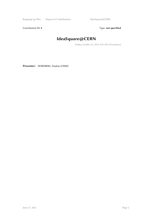Ramping-up Wor ... / Report of Contributions IdeaSquare@CERN

Contribution ID: 2 Type: **not specified** 

## **IdeaSquare@CERN**

*Friday, October 21, 2016 9:30 AM (30 minutes)*

**Presenter:** NORDBERG, Markus (CERN)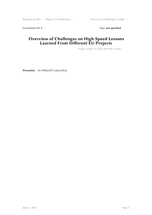Contribution ID: 3 Type: **not specified** 

#### **Overview of Challenges on High-Speed Lessons Learned From Different EU-Projects**

*Friday, October 21, 2016 10:00 AM (1 hour)*

**Presenter:** Dr STEELANT, Johan (ESA)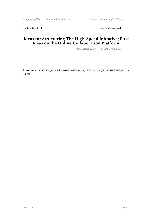Contribution ID: 4 Type: **not specified** 

#### **Ideas for Structuring The High-Speed Initiative; First Ideas on the Online Collaboration Platform**

*Friday, October 21, 2016 11:00 AM (30 minutes)*

**Presenters:** KURIKKA, Joona Juhani (Helsinki University of Technology (FI)); NORDBERG, Markus (CERN)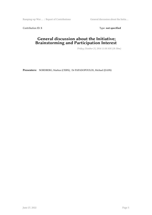Ramping-up Wor ... / Report of Contributions General discussion about the Initia ...

Contribution ID: 5 Type: **not specified** 

#### **General discussion about the Initiative; Brainstorming and Participation Interest**

*Friday, October 21, 2016 11:30 AM (1h 30m)*

**Presenters:** NORDBERG, Markus (CERN); Dr PAPADOPOULOS, Michael (EASN)